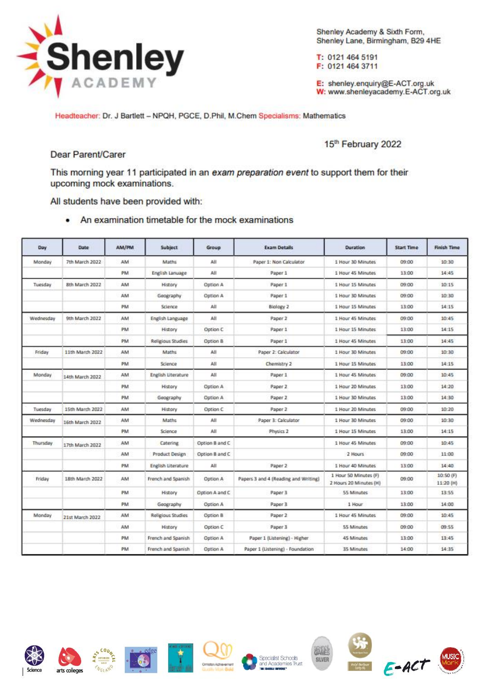

Shenley Academy & Sixth Form, Shenley Lane, Birmingham, B29 4HE

T: 0121 464 5191 F: 0121 464 3711

E: shenley.enquiry@E-ACT.org.uk W: www.shenleyacademy.E-ACT.org.uk

Headteacher: Dr. J Bartlett - NPQH, PGCE, D.Phil, M.Chem Specialisms: Mathematics

15th February 2022

## Dear Parent/Carer

This morning year 11 participated in an exam preparation event to support them for their upcoming mock examinations.

All students have been provided with:

• An examination timetable for the mock examinations

| Day       | Date            | AM/PM | Subject               | Group          | <b>Exam Details</b>                  | <b>Duration</b>                                 | <b>Start Time</b> | <b>Finish Time</b><br>10:30 |
|-----------|-----------------|-------|-----------------------|----------------|--------------------------------------|-------------------------------------------------|-------------------|-----------------------------|
| Monday    | 7th March 2022  | AM    | Maths                 | All            | Paper 1: Non Calculator              | 1 Hour 30 Minutes                               | 09:00             |                             |
|           |                 | PM    | English Lanuage       | All            | Paper 1                              | 1 Hour 45 Minutes                               | 13:00             | 14:45                       |
| Tuesday   | 8th March 2022  | AM    | History               | Option A       | Paper 1                              | 1 Hour 15 Minutes                               | 09:00             | 10:15                       |
|           |                 | AM    | Geography             | Option A       | Paper 1                              | 1 Hour 30 Minutes                               | 09:00             | 10:30                       |
|           |                 | PM    | Science               | All            | Biology 2                            | 1 Hour 15 Minutes                               | 13:00             | 14:15                       |
| Wednesday | 9th March 2022  | AM    | English Language      | All            | Paper 2                              | 1 Hour 45 Minutes                               | 09:00             | 10:45                       |
|           |                 | PM    | History               | Option C       | Paper 1                              | 1 Hour 15 Minutes                               | 13:00             | 14:15                       |
|           |                 | PM    | Religious Studies     | Option B       | Paper 1                              | 1 Hour 45 Minutes                               | 13:00             | 14:45                       |
| Friday    | 11th March 2022 | AM    | Maths                 | All            | Paper 2: Calculator                  | 1 Hour 30 Minutes                               | 09:00             | 10:30                       |
|           |                 | PM    | Science               | All            | Chemistry 2                          | 1 Hour 15 Minutes                               | 13:00             | 14:15                       |
| Monday    | 14th March 2022 | AM    | English Literature    | All            | Paper 1                              | 1 Hour 45 Minutes                               | 09:00             | 10:45                       |
|           |                 | PM    | History               | Option A       | Paper 2                              | 1 Hour 20 Minutes                               | 13:00             | 14:20                       |
|           |                 | PM    | Geography             | Option A       | Paper 2                              | 1 Hour 30 Minutes                               | 13:00             | 14:30                       |
| Tuesday   | 15th March 2022 | AM    | History               | Option C       | Paper 2                              | 1 Hour 20 Minutes                               | 09:00             | 10:20                       |
| Wednesday | 16th March 2022 | AM    | Maths                 | All            | Paper 3: Calculator                  | 1 Hour 30 Minutes                               | 09:00             | 10:30                       |
|           |                 | PM    | Science               | All            | Physics 2                            | 1 Hour 15 Minutes                               | 13:00             | 14:15                       |
| Thursday  | 17th March 2022 | AM    | Catering              | Option B and C |                                      | 1 Hour 45 Minutes                               | 09:00             | 10:45                       |
|           |                 | AM    | <b>Product Design</b> | Option B and C |                                      | 2 Hours                                         | 09:00             | 11:00                       |
|           |                 | PM    | English Literature    | All            | Paper 2                              | 1 Hour 40 Minutes                               | 13:00             | 14:40                       |
| Friday    | 18th March 2022 | AM    | French and Spanish    | Option A       | Papers 3 and 4 (Reading and Writing) | 1 Hour 50 Minutes (F)<br>2 Hours 20 Minutes (H) | 09:00             | 10:50 (F)<br>11:20 (H)      |
|           |                 | PM    | History               | Option A and C | Paper 3                              | 55 Minutes                                      | 13:00             | 13:55                       |
|           |                 | PM    | Geography             | Option A       | Paper 3                              | 1 Hour                                          | 13:00             | 14:00                       |
| Monday    | 21st March 2022 | AM    | Religious Studies     | Option B       | Paper 2                              | 1 Hour 45 Minutes                               | 09:00             | 10:45                       |
|           |                 | AM    | History               | Option C       | Paper 3                              | 55 Minutes                                      | 09:00             | 09:55                       |
|           |                 | PM    | French and Spanish    | Option A       | Paper 1 (Listening) - Higher         | 45 Minutes                                      | 13:00             | 13:45                       |
|           |                 | PM    | French and Spanish    | Option A       | Paper 1 (Listening) - Foundation     | 35 Minutes                                      | 14:00             | 14:35                       |













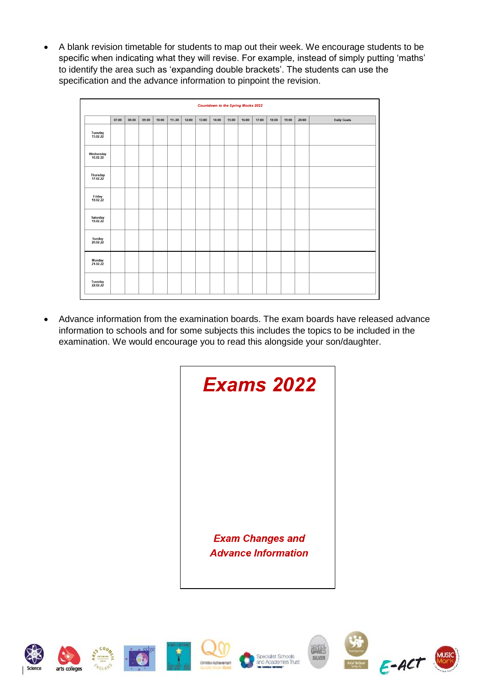A blank revision timetable for students to map out their week. We encourage students to be specific when indicating what they will revise. For example, instead of simply putting 'maths' to identify the area such as 'expanding double brackets'. The students can use the specification and the advance information to pinpoint the revision.

| <b>Countdown to the Spring Mocks 2022</b> |       |       |       |       |        |       |       |       |       |       |       |       |       |       |                    |
|-------------------------------------------|-------|-------|-------|-------|--------|-------|-------|-------|-------|-------|-------|-------|-------|-------|--------------------|
|                                           | 07:00 | 08:00 | 09:00 | 10:00 | 11:.00 | 12:00 | 13:00 | 14:00 | 15:00 | 16:00 | 17:00 | 18:00 | 19:00 | 20:00 | <b>Daily Goals</b> |
| Tuesday<br>15.02.22                       |       |       |       |       |        |       |       |       |       |       |       |       |       |       |                    |
| Wednesday<br>16.02.22                     |       |       |       |       |        |       |       |       |       |       |       |       |       |       |                    |
| Thursday<br>17.02.22                      |       |       |       |       |        |       |       |       |       |       |       |       |       |       |                    |
| Friday<br>18.02.22                        |       |       |       |       |        |       |       |       |       |       |       |       |       |       |                    |
| Saturday<br>19.02.22                      |       |       |       |       |        |       |       |       |       |       |       |       |       |       |                    |
| Sunday<br>20.02.22                        |       |       |       |       |        |       |       |       |       |       |       |       |       |       |                    |
| Monday<br>21.02.22                        |       |       |       |       |        |       |       |       |       |       |       |       |       |       |                    |
| Tuesday<br>22.02.22                       |       |       |       |       |        |       |       |       |       |       |       |       |       |       |                    |

 Advance information from the examination boards. The exam boards have released advance information to schools and for some subjects this includes the topics to be included in the examination. We would encourage you to read this alongside your son/daughter.